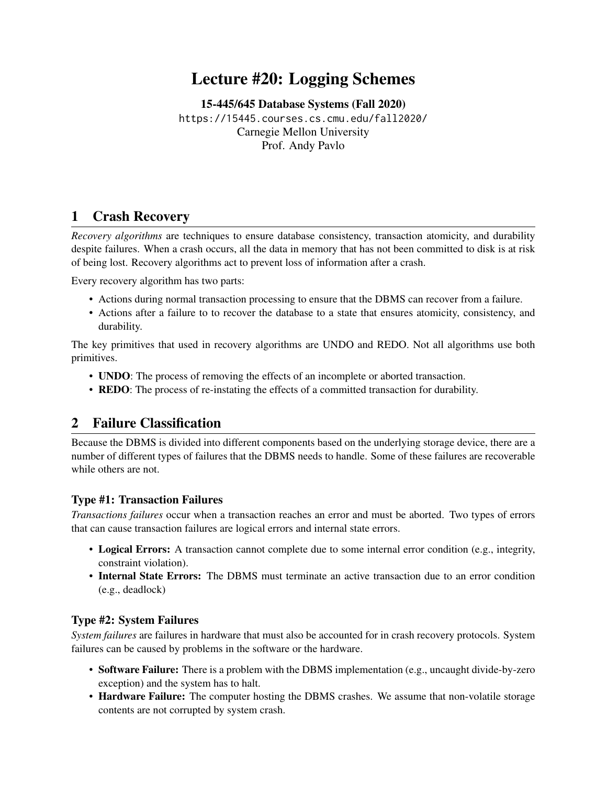# Lecture #20: Logging Schemes

[15-445/645 Database Systems \(Fall 2020\)](https://15445.courses.cs.cmu.edu/fall2020/) <https://15445.courses.cs.cmu.edu/fall2020/> Carnegie Mellon University [Prof. Andy Pavlo](http://www.cs.cmu.edu/~pavlo/)

### 1 Crash Recovery

*Recovery algorithms* are techniques to ensure database consistency, transaction atomicity, and durability despite failures. When a crash occurs, all the data in memory that has not been committed to disk is at risk of being lost. Recovery algorithms act to prevent loss of information after a crash.

Every recovery algorithm has two parts:

- Actions during normal transaction processing to ensure that the DBMS can recover from a failure.
- Actions after a failure to to recover the database to a state that ensures atomicity, consistency, and durability.

The key primitives that used in recovery algorithms are UNDO and REDO. Not all algorithms use both primitives.

- UNDO: The process of removing the effects of an incomplete or aborted transaction.
- REDO: The process of re-instating the effects of a committed transaction for durability.

# 2 Failure Classification

Because the DBMS is divided into different components based on the underlying storage device, there are a number of different types of failures that the DBMS needs to handle. Some of these failures are recoverable while others are not.

### Type #1: Transaction Failures

*Transactions failures* occur when a transaction reaches an error and must be aborted. Two types of errors that can cause transaction failures are logical errors and internal state errors.

- Logical Errors: A transaction cannot complete due to some internal error condition (e.g., integrity, constraint violation).
- Internal State Errors: The DBMS must terminate an active transaction due to an error condition (e.g., deadlock)

#### Type #2: System Failures

*System failures* are failures in hardware that must also be accounted for in crash recovery protocols. System failures can be caused by problems in the software or the hardware.

- Software Failure: There is a problem with the DBMS implementation (e.g., uncaught divide-by-zero exception) and the system has to halt.
- Hardware Failure: The computer hosting the DBMS crashes. We assume that non-volatile storage contents are not corrupted by system crash.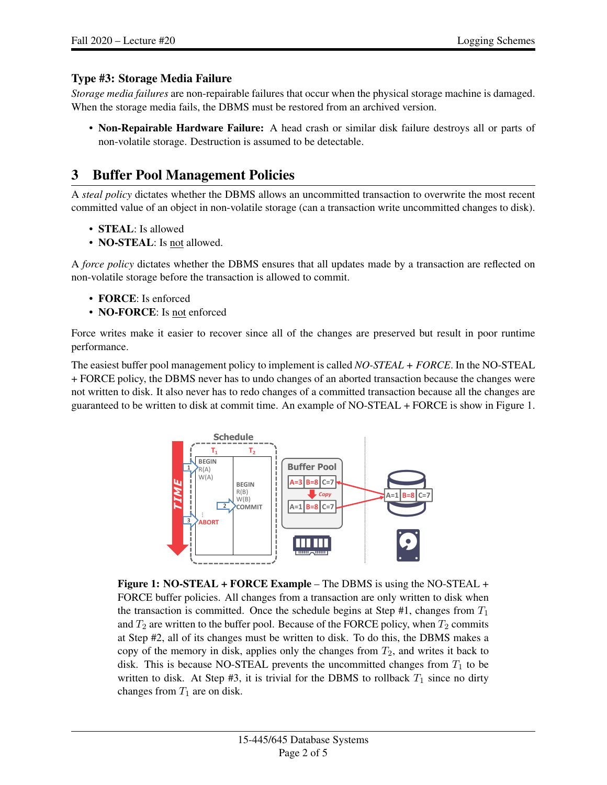### Type #3: Storage Media Failure

*Storage media failures* are non-repairable failures that occur when the physical storage machine is damaged. When the storage media fails, the DBMS must be restored from an archived version.

• Non-Repairable Hardware Failure: A head crash or similar disk failure destroys all or parts of non-volatile storage. Destruction is assumed to be detectable.

### 3 Buffer Pool Management Policies

A *steal policy* dictates whether the DBMS allows an uncommitted transaction to overwrite the most recent committed value of an object in non-volatile storage (can a transaction write uncommitted changes to disk).

- STEAL: Is allowed
- NO-STEAL: Is not allowed.

A *force policy* dictates whether the DBMS ensures that all updates made by a transaction are reflected on non-volatile storage before the transaction is allowed to commit.

- **FORCE**: Is enforced
- **NO-FORCE**: Is not enforced

Force writes make it easier to recover since all of the changes are preserved but result in poor runtime performance.

<span id="page-1-0"></span>The easiest buffer pool management policy to implement is called *NO-STEAL + FORCE*. In the NO-STEAL + FORCE policy, the DBMS never has to undo changes of an aborted transaction because the changes were not written to disk. It also never has to redo changes of a committed transaction because all the changes are guaranteed to be written to disk at commit time. An example of NO-STEAL + FORCE is show in [Figure 1.](#page-1-0)



Figure 1: NO-STEAL + FORCE Example – The DBMS is using the NO-STEAL + FORCE buffer policies. All changes from a transaction are only written to disk when the transaction is committed. Once the schedule begins at Step #1, changes from  $T_1$ and  $T_2$  are written to the buffer pool. Because of the FORCE policy, when  $T_2$  commits at Step #2, all of its changes must be written to disk. To do this, the DBMS makes a copy of the memory in disk, applies only the changes from  $T_2$ , and writes it back to disk. This is because NO-STEAL prevents the uncommitted changes from  $T_1$  to be written to disk. At Step #3, it is trivial for the DBMS to rollback  $T_1$  since no dirty changes from  $T_1$  are on disk.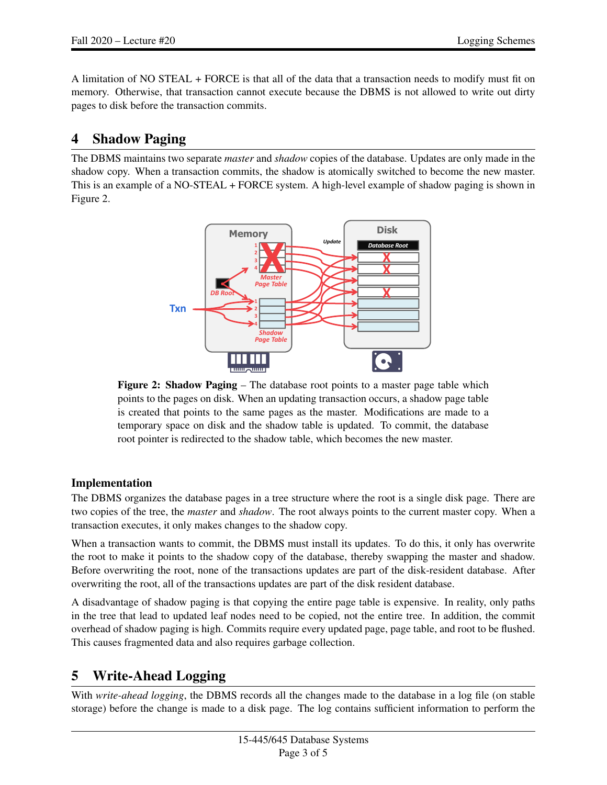A limitation of NO STEAL + FORCE is that all of the data that a transaction needs to modify must fit on memory. Otherwise, that transaction cannot execute because the DBMS is not allowed to write out dirty pages to disk before the transaction commits.

# 4 Shadow Paging

<span id="page-2-0"></span>The DBMS maintains two separate *master* and *shadow* copies of the database. Updates are only made in the shadow copy. When a transaction commits, the shadow is atomically switched to become the new master. This is an example of a NO-STEAL + FORCE system. A high-level example of shadow paging is shown in 3 [Figure 2.](#page-2-0)



Figure 2: Shadow Paging – The database root points to a master page table which points to the pages on disk. When an updating transaction occurs, a shadow page table is created that points to the same pages as the master. Modifications are made to a temporary space on disk and the shadow table is updated. To commit, the database root pointer is redirected to the shadow table, which becomes the new master.

### Implementation

The DBMS organizes the database pages in a tree structure where the root is a single disk page. There are two copies of the tree, the *master* and *shadow*. The root always points to the current master copy. When a transaction executes, it only makes changes to the shadow copy.

When a transaction wants to commit, the DBMS must install its updates. To do this, it only has overwrite the root to make it points to the shadow copy of the database, thereby swapping the master and shadow. Before overwriting the root, none of the transactions updates are part of the disk-resident database. After overwriting the root, all of the transactions updates are part of the disk resident database.

A disadvantage of shadow paging is that copying the entire page table is expensive. In reality, only paths in the tree that lead to updated leaf nodes need to be copied, not the entire tree. In addition, the commit overhead of shadow paging is high. Commits require every updated page, page table, and root to be flushed. This causes fragmented data and also requires garbage collection.

# 5 Write-Ahead Logging

With *write-ahead logging*, the DBMS records all the changes made to the database in a log file (on stable storage) before the change is made to a disk page. The log contains sufficient information to perform the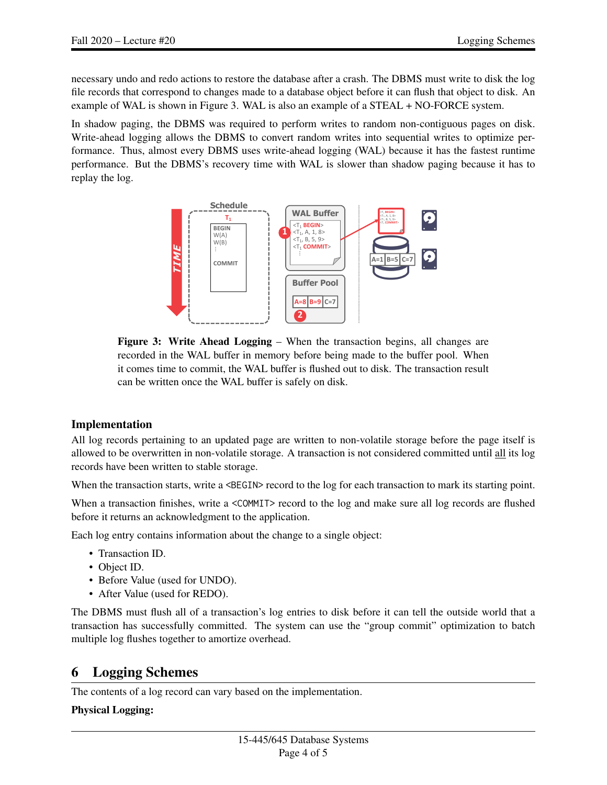necessary undo and redo actions to restore the database after a crash. The DBMS must write to disk the log file records that correspond to changes made to a database object before it can flush that object to disk. An example of WAL is shown in [Figure 3.](#page-3-0) WAL is also an example of a STEAL + NO-FORCE system.

<span id="page-3-0"></span>In shadow paging, the DBMS was required to perform writes to random non-contiguous pages on disk. Write-ahead logging allows the DBMS to convert random writes into sequential writes to optimize performance. Thus, almost every DBMS uses write-ahead logging (WAL) because it has the fastest runtime performance. But the DBMS's recovery time with WAL is slower than shadow paging because it has to replay the log.  $\overline{\phantom{a}}$ 



Figure 3: Write Ahead Logging – When the transaction begins, all changes are recorded in the WAL buffer in memory before being made to the buffer pool. When it comes time to commit, the WAL buffer is flushed out to disk. The transaction result can be written once the WAL buffer is safely on disk.

### Implementation

All log records pertaining to an updated page are written to non-volatile storage before the page itself is allowed to be overwritten in non-volatile storage. A transaction is not considered committed until all its log records have been written to stable storage.

When the transaction starts, write a <BEGIN> record to the log for each transaction to mark its starting point.

When a transaction finishes, write a <COMMIT> record to the log and make sure all log records are flushed before it returns an acknowledgment to the application.

Each log entry contains information about the change to a single object:

- Transaction ID.
- Object ID.
- Before Value (used for UNDO).
- After Value (used for REDO).

The DBMS must flush all of a transaction's log entries to disk before it can tell the outside world that a transaction has successfully committed. The system can use the "group commit" optimization to batch multiple log flushes together to amortize overhead.

# 6 Logging Schemes

The contents of a log record can vary based on the implementation.

#### Physical Logging: